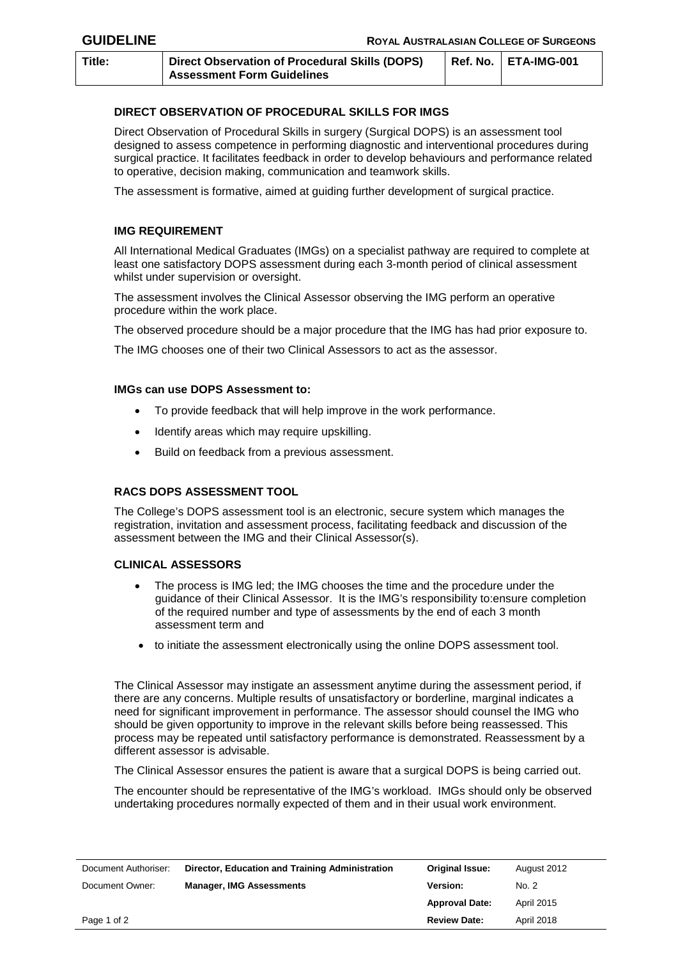**Title: Direct Observation of Procedural Skills (DOPS) Assessment Form Guidelines Ref. No. ETA-IMG-001**

# **DIRECT OBSERVATION OF PROCEDURAL SKILLS FOR IMGS**

Direct Observation of Procedural Skills in surgery (Surgical DOPS) is an assessment tool designed to assess competence in performing diagnostic and interventional procedures during surgical practice. It facilitates feedback in order to develop behaviours and performance related to operative, decision making, communication and teamwork skills.

The assessment is formative, aimed at guiding further development of surgical practice.

## **IMG REQUIREMENT**

All International Medical Graduates (IMGs) on a specialist pathway are required to complete at least one satisfactory DOPS assessment during each 3-month period of clinical assessment whilst under supervision or oversight.

The assessment involves the Clinical Assessor observing the IMG perform an operative procedure within the work place.

The observed procedure should be a major procedure that the IMG has had prior exposure to.

The IMG chooses one of their two Clinical Assessors to act as the assessor.

#### **IMGs can use DOPS Assessment to:**

- To provide feedback that will help improve in the work performance.
- Identify areas which may require upskilling.
- Build on feedback from a previous assessment.

## **RACS DOPS ASSESSMENT TOOL**

The College's DOPS assessment tool is an electronic, secure system which manages the registration, invitation and assessment process, facilitating feedback and discussion of the assessment between the IMG and their Clinical Assessor(s).

## **CLINICAL ASSESSORS**

- The process is IMG led; the IMG chooses the time and the procedure under the guidance of their Clinical Assessor. It is the IMG's responsibility to:ensure completion of the required number and type of assessments by the end of each 3 month assessment term and
- to initiate the assessment electronically using the online DOPS assessment tool.

The Clinical Assessor may instigate an assessment anytime during the assessment period, if there are any concerns. Multiple results of unsatisfactory or borderline, marginal indicates a need for significant improvement in performance. The assessor should counsel the IMG who should be given opportunity to improve in the relevant skills before being reassessed. This process may be repeated until satisfactory performance is demonstrated. Reassessment by a different assessor is advisable.

The Clinical Assessor ensures the patient is aware that a surgical DOPS is being carried out.

The encounter should be representative of the IMG's workload. IMGs should only be observed undertaking procedures normally expected of them and in their usual work environment.

| Document Authoriser: | Director, Education and Training Administration | Original Issue:       | August 2012       |
|----------------------|-------------------------------------------------|-----------------------|-------------------|
| Document Owner:      | <b>Manager, IMG Assessments</b>                 | <b>Version:</b>       | No. 2             |
|                      |                                                 | <b>Approval Date:</b> | <b>April 2015</b> |
| Page 1 of 2          |                                                 | <b>Review Date:</b>   | April 2018        |